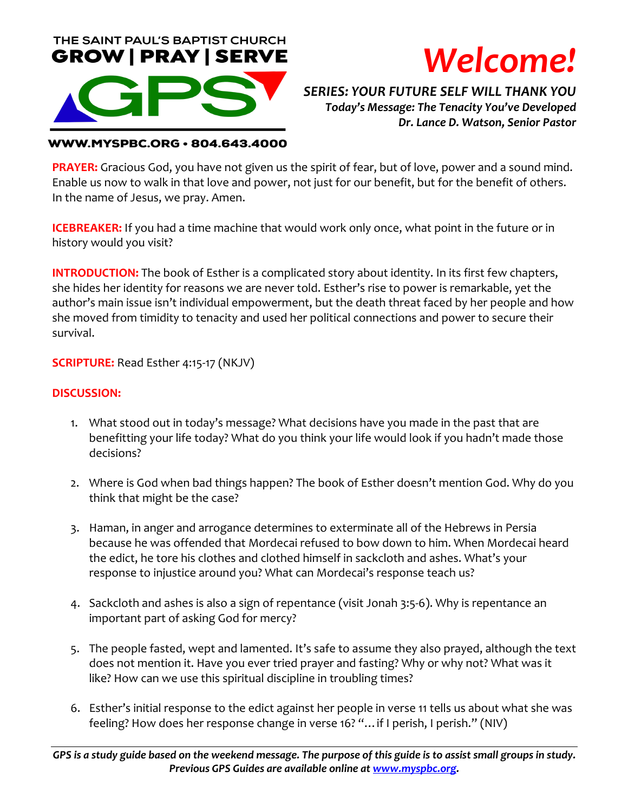



*SERIES: YOUR FUTURE SELF WILL THANK YOU Today's Message: The Tenacity You've Developed Dr. Lance D. Watson, Senior Pastor*

#### **WWW.MYSPBC.ORG · 804.643.4000**

**PRAYER:** Gracious God, you have not given us the spirit of fear, but of love, power and a sound mind. Enable us now to walk in that love and power, not just for our benefit, but for the benefit of others. In the name of Jesus, we pray. Amen.

**ICEBREAKER:** If you had a time machine that would work only once, what point in the future or in history would you visit?

**INTRODUCTION:** The book of Esther is a complicated story about identity. In its first few chapters, she hides her identity for reasons we are never told. Esther's rise to power is remarkable, yet the author's main issue isn't individual empowerment, but the death threat faced by her people and how she moved from timidity to tenacity and used her political connections and power to secure their survival.

**SCRIPTURE:** Read Esther 4:15-17 (NKJV)

### **DISCUSSION:**

- 1. What stood out in today's message? What decisions have you made in the past that are benefitting your life today? What do you think your life would look if you hadn't made those decisions?
- 2. Where is God when bad things happen? The book of Esther doesn't mention God. Why do you think that might be the case?
- 3. Haman, in anger and arrogance determines to exterminate all of the Hebrews in Persia because he was offended that Mordecai refused to bow down to him. When Mordecai heard the edict, he tore his clothes and clothed himself in sackcloth and ashes. What's your response to injustice around you? What can Mordecai's response teach us?
- 4. Sackcloth and ashes is also a sign of repentance (visit Jonah 3:5-6). Why is repentance an important part of asking God for mercy?
- 5. The people fasted, wept and lamented. It's safe to assume they also prayed, although the text does not mention it. Have you ever tried prayer and fasting? Why or why not? What was it like? How can we use this spiritual discipline in troubling times?
- 6. Esther's initial response to the edict against her people in verse 11 tells us about what she was feeling? How does her response change in verse 16? "... if I perish, I perish." (NIV)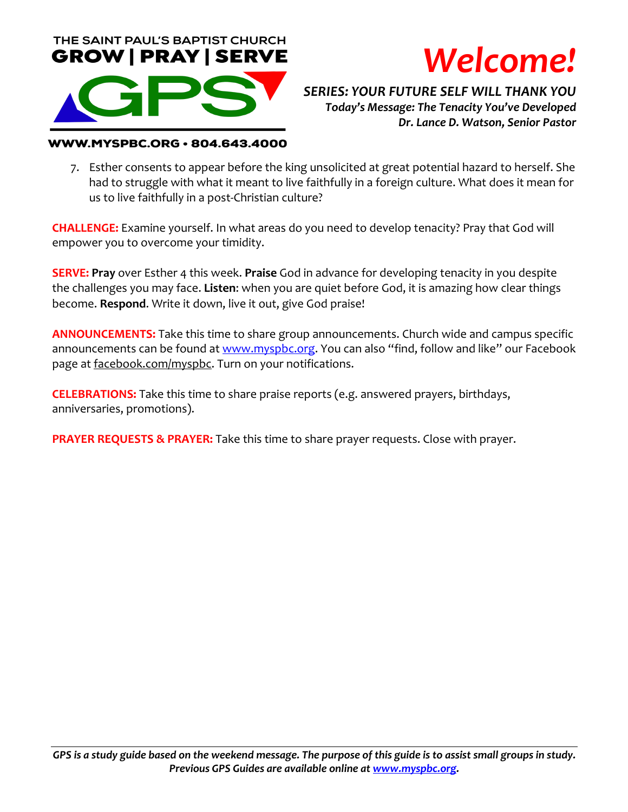



*SERIES: YOUR FUTURE SELF WILL THANK YOU Today's Message: The Tenacity You've Developed Dr. Lance D. Watson, Senior Pastor*

#### **WWW.MYSPBC.ORG · 804.643.4000**

7. Esther consents to appear before the king unsolicited at great potential hazard to herself. She had to struggle with what it meant to live faithfully in a foreign culture. What does it mean for us to live faithfully in a post-Christian culture?

**CHALLENGE:** Examine yourself. In what areas do you need to develop tenacity? Pray that God will empower you to overcome your timidity.

**SERVE: Pray** over Esther 4 this week. **Praise** God in advance for developing tenacity in you despite the challenges you may face. **Listen**: when you are quiet before God, it is amazing how clear things become. **Respond**. Write it down, live it out, give God praise!

**ANNOUNCEMENTS:** Take this time to share group announcements. Church wide and campus specific announcements can be found at www.myspbc.org. You can also "find, follow and like" our Facebook page at facebook.com/myspbc. Turn on your notifications.

**CELEBRATIONS:** Take this time to share praise reports (e.g. answered prayers, birthdays, anniversaries, promotions).

**PRAYER REQUESTS & PRAYER:** Take this time to share prayer requests. Close with prayer.